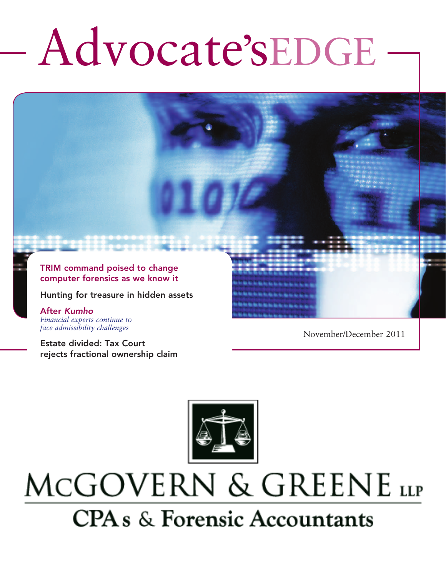# Advocate'sEDGE

TRIM command poised to change computer forensics as we know it

Hunting for treasure in hidden assets

After *Kumho Financial experts continue to face admissibility challenges*

Estate divided: Tax Court rejects fractional ownership claim November/December 2011



# MCGOVERN & GREENE LLP **CPAs & Forensic Accountants**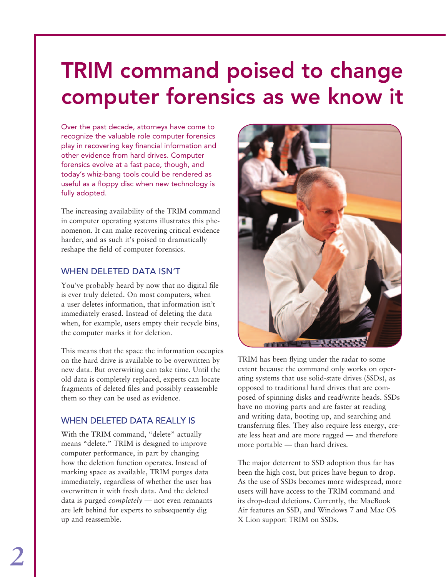## TRIM command poised to change computer forensics as we know it

Over the past decade, attorneys have come to recognize the valuable role computer forensics play in recovering key financial information and other evidence from hard drives. Computer forensics evolve at a fast pace, though, and today's whiz-bang tools could be rendered as useful as a floppy disc when new technology is fully adopted.

The increasing availability of the TRIM command in computer operating systems illustrates this phenomenon. It can make recovering critical evidence harder, and as such it's poised to dramatically reshape the field of computer forensics.

### When deleted data isn't

You've probably heard by now that no digital file is ever truly deleted. On most computers, when a user deletes information, that information isn't immediately erased. Instead of deleting the data when, for example, users empty their recycle bins, the computer marks it for deletion.

This means that the space the information occupies on the hard drive is available to be overwritten by new data. But overwriting can take time. Until the old data is completely replaced, experts can locate fragments of deleted files and possibly reassemble them so they can be used as evidence.

### WHEN DELETED DATA REALLY IS

With the TRIM command, "delete" actually means "delete." TRIM is designed to improve computer performance, in part by changing how the deletion function operates. Instead of marking space as available, TRIM purges data immediately, regardless of whether the user has overwritten it with fresh data. And the deleted data is purged *completely* — not even remnants are left behind for experts to subsequently dig up and reassemble.



TRIM has been flying under the radar to some extent because the command only works on operating systems that use solid-state drives (SSDs), as opposed to traditional hard drives that are composed of spinning disks and read/write heads. SSDs have no moving parts and are faster at reading and writing data, booting up, and searching and transferring files. They also require less energy, create less heat and are more rugged — and therefore more portable — than hard drives.

The major deterrent to SSD adoption thus far has been the high cost, but prices have begun to drop. As the use of SSDs becomes more widespread, more users will have access to the TRIM command and its drop-dead deletions. Currently, the MacBook Air features an SSD, and Windows 7 and Mac OS X Lion support TRIM on SSDs.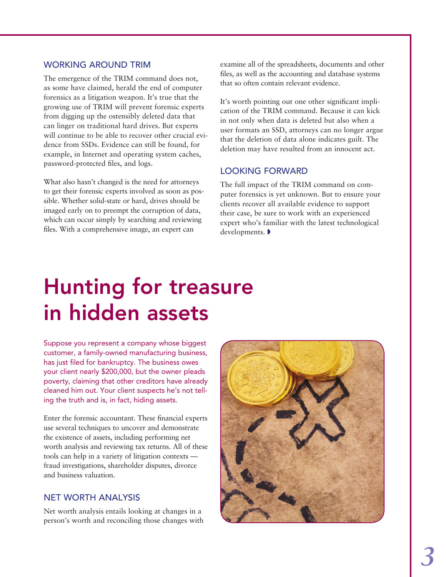### Working around TRIM

The emergence of the TRIM command does not, as some have claimed, herald the end of computer forensics as a litigation weapon. It's true that the growing use of TRIM will prevent forensic experts from digging up the ostensibly deleted data that can linger on traditional hard drives. But experts will continue to be able to recover other crucial evidence from SSDs. Evidence can still be found, for example, in Internet and operating system caches, password-protected files, and logs.

What also hasn't changed is the need for attorneys to get their forensic experts involved as soon as possible. Whether solid-state or hard, drives should be imaged early on to preempt the corruption of data, which can occur simply by searching and reviewing files. With a comprehensive image, an expert can

examine all of the spreadsheets, documents and other files, as well as the accounting and database systems that so often contain relevant evidence.

It's worth pointing out one other significant implication of the TRIM command. Because it can kick in not only when data is deleted but also when a user formats an SSD, attorneys can no longer argue that the deletion of data alone indicates guilt. The deletion may have resulted from an innocent act.

#### Looking forward

The full impact of the TRIM command on computer forensics is yet unknown. But to ensure your clients recover all available evidence to support their case, be sure to work with an experienced expert who's familiar with the latest technological developments.

# Hunting for treasure in hidden assets

Suppose you represent a company whose biggest customer, a family-owned manufacturing business, has just filed for bankruptcy. The business owes your client nearly \$200,000, but the owner pleads poverty, claiming that other creditors have already cleaned him out. Your client suspects he's not telling the truth and is, in fact, hiding assets.

Enter the forensic accountant. These financial experts use several techniques to uncover and demonstrate the existence of assets, including performing net worth analysis and reviewing tax returns. All of these tools can help in a variety of litigation contexts fraud investigations, shareholder disputes, divorce and business valuation.

### Net worth analysis

Net worth analysis entails looking at changes in a person's worth and reconciling those changes with

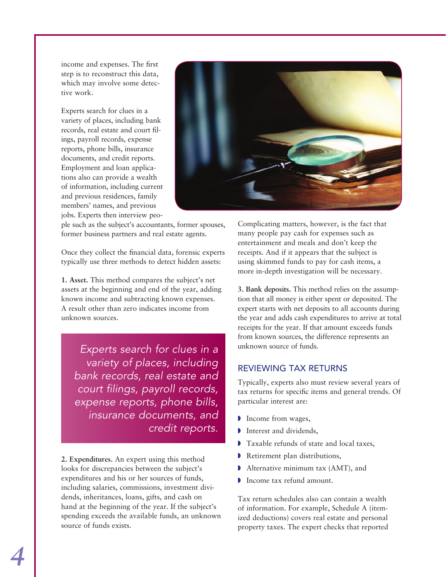income and expenses. The first step is to reconstruct this data, which may involve some detective work.

Experts search for clues in a variety of places, including bank records, real estate and court filings, payroll records, expense reports, phone bills, insurance documents, and credit reports. Employment and loan applications also can provide a wealth of information, including current and previous residences, family members' names, and previous jobs. Experts then interview peo-



ple such as the subject's accountants, former spouses, former business partners and real estate agents.

Once they collect the financial data, forensic experts typically use three methods to detect hidden assets:

**1. Asset.** This method compares the subject's net assets at the beginning and end of the year, adding known income and subtracting known expenses. A result other than zero indicates income from unknown sources.

*Experts search for clues in a variety of places, including bank records, real estate and court filings, payroll records, expense reports, phone bills, insurance documents, and credit reports.* 

**2. Expenditures.** An expert using this method looks for discrepancies between the subject's expenditures and his or her sources of funds, including salaries, commissions, investment dividends, inheritances, loans, gifts, and cash on hand at the beginning of the year. If the subject's spending exceeds the available funds, an unknown source of funds exists.

Complicating matters, however, is the fact that many people pay cash for expenses such as entertainment and meals and don't keep the receipts. And if it appears that the subject is using skimmed funds to pay for cash items, a more in-depth investigation will be necessary.

**3. Bank deposits.** This method relies on the assumption that all money is either spent or deposited. The expert starts with net deposits to all accounts during the year and adds cash expenditures to arrive at total receipts for the year. If that amount exceeds funds from known sources, the difference represents an unknown source of funds.

### Reviewing tax returns

Typically, experts also must review several years of tax returns for specific items and general trends. Of particular interest are:

- $\triangleright$  Income from wages,
- $\blacksquare$  Interest and dividends,
- Taxable refunds of state and local taxes,
- Retirement plan distributions,
- $\blacktriangleright$  Alternative minimum tax (AMT), and
- Income tax refund amount.

Tax return schedules also can contain a wealth of information. For example, Schedule A (itemized deductions) covers real estate and personal property taxes. The expert checks that reported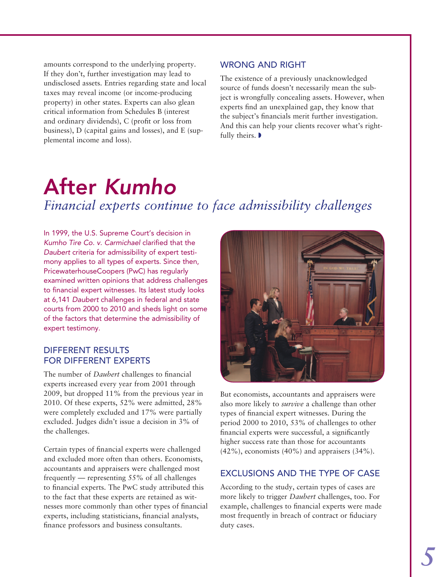amounts correspond to the underlying property. If they don't, further investigation may lead to undisclosed assets. Entries regarding state and local taxes may reveal income (or income-producing property) in other states. Experts can also glean critical information from Schedules B (interest and ordinary dividends), C (profit or loss from business), D (capital gains and losses), and E (supplemental income and loss).

### WRONG AND RIGHT

The existence of a previously unacknowledged source of funds doesn't necessarily mean the subject is wrongfully concealing assets. However, when experts find an unexplained gap, they know that the subject's financials merit further investigation. And this can help your clients recover what's rightfully theirs.  $\blacktriangleright$ 

### After *Kumho Financial experts continue to face admissibility challenges*

In 1999, the U.S. Supreme Court's decision in *Kumho Tire Co. v. Carmichael* clarified that the *Daubert* criteria for admissibility of expert testimony applies to all types of experts. Since then, PricewaterhouseCoopers (PwC) has regularly examined written opinions that address challenges to financial expert witnesses. Its latest study looks at 6,141 *Daubert* challenges in federal and state courts from 2000 to 2010 and sheds light on some of the factors that determine the admissibility of expert testimony.

### Different results for different experts

The number of *Daubert* challenges to financial experts increased every year from 2001 through 2009, but dropped 11% from the previous year in 2010. Of these experts, 52% were admitted, 28% were completely excluded and 17% were partially excluded. Judges didn't issue a decision in 3% of the challenges.

Certain types of financial experts were challenged and excluded more often than others. Economists, accountants and appraisers were challenged most frequently — representing 55% of all challenges to financial experts. The PwC study attributed this to the fact that these experts are retained as witnesses more commonly than other types of financial experts, including statisticians, financial analysts, finance professors and business consultants.



But economists, accountants and appraisers were also more likely to *survive* a challenge than other types of financial expert witnesses. During the period 2000 to 2010, 53% of challenges to other financial experts were successful, a significantly higher success rate than those for accountants  $(42\%)$ , economists  $(40\%)$  and appraisers  $(34\%).$ 

### Exclusions and the type of case

According to the study, certain types of cases are more likely to trigger *Daubert* challenges, too. For example, challenges to financial experts were made most frequently in breach of contract or fiduciary duty cases.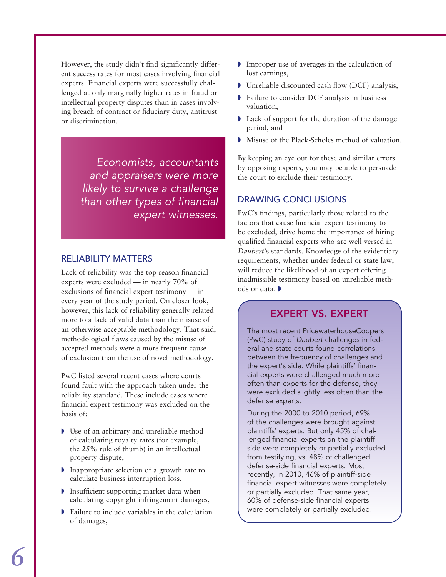However, the study didn't find significantly different success rates for most cases involving financial experts. Financial experts were successfully challenged at only marginally higher rates in fraud or intellectual property disputes than in cases involving breach of contract or fiduciary duty, antitrust or discrimination.

> *Economists, accountants and appraisers were more likely to survive a challenge than other types of financial expert witnesses.*

### Reliability matters

Lack of reliability was the top reason financial experts were excluded — in nearly 70% of exclusions of financial expert testimony — in every year of the study period. On closer look, however, this lack of reliability generally related more to a lack of valid data than the misuse of an otherwise acceptable methodology. That said, methodological flaws caused by the misuse of accepted methods were a more frequent cause of exclusion than the use of novel methodology.

PwC listed several recent cases where courts found fault with the approach taken under the reliability standard. These include cases where financial expert testimony was excluded on the basis of:

- $\triangleright$  Use of an arbitrary and unreliable method of calculating royalty rates (for example, the 25% rule of thumb) in an intellectual property dispute,
- $\triangleright$  Inappropriate selection of a growth rate to calculate business interruption loss,
- $\triangleright$  Insufficient supporting market data when calculating copyright infringement damages,
- $\triangleright$  Failure to include variables in the calculation of damages,
- $\blacksquare$  Improper use of averages in the calculation of lost earnings,
- $\triangleright$  Unreliable discounted cash flow (DCF) analysis,
- **Failure to consider DCF analysis in business** valuation,
- I Lack of support for the duration of the damage period, and
- Misuse of the Black-Scholes method of valuation.

By keeping an eye out for these and similar errors by opposing experts, you may be able to persuade the court to exclude their testimony.

### Drawing conclusions

PwC's findings, particularly those related to the factors that cause financial expert testimony to be excluded, drive home the importance of hiring qualified financial experts who are well versed in *Daubert*'s standards. Knowledge of the evidentiary requirements, whether under federal or state law, will reduce the likelihood of an expert offering inadmissible testimony based on unreliable methods or data.  $\blacksquare$ 

### Expert vs. expert

The most recent PricewaterhouseCoopers (PwC) study of *Daubert* challenges in federal and state courts found correlations between the frequency of challenges and the expert's side. While plaintiffs' financial experts were challenged much more often than experts for the defense, they were excluded slightly less often than the defense experts.

During the 2000 to 2010 period, 69% of the challenges were brought against plaintiffs' experts. But only 45% of challenged financial experts on the plaintiff side were completely or partially excluded from testifying, vs. 48% of challenged defense-side financial experts. Most recently, in 2010, 46% of plaintiff-side financial expert witnesses were completely or partially excluded. That same year, 60% of defense-side financial experts were completely or partially excluded.